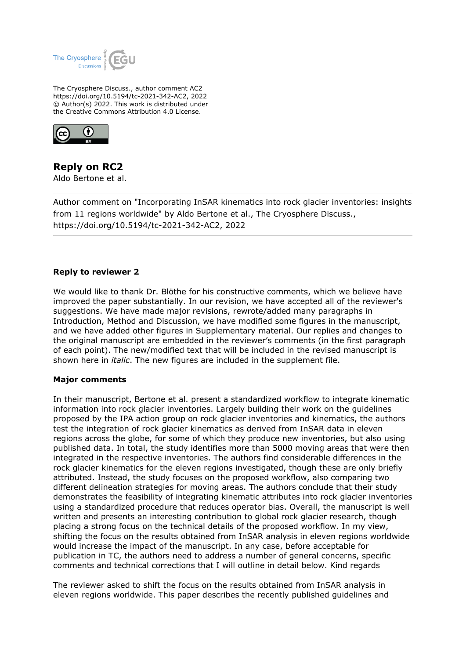

The Cryosphere Discuss., author comment AC2 https://doi.org/10.5194/tc-2021-342-AC2, 2022 © Author(s) 2022. This work is distributed under the Creative Commons Attribution 4.0 License.



# **Reply on RC2**

Aldo Bertone et al.

Author comment on "Incorporating InSAR kinematics into rock glacier inventories: insights from 11 regions worldwide" by Aldo Bertone et al., The Cryosphere Discuss., https://doi.org/10.5194/tc-2021-342-AC2, 2022

## **Reply to reviewer 2**

We would like to thank Dr. Blöthe for his constructive comments, which we believe have improved the paper substantially. In our revision, we have accepted all of the reviewer's suggestions. We have made major revisions, rewrote/added many paragraphs in Introduction, Method and Discussion, we have modified some figures in the manuscript, and we have added other figures in Supplementary material. Our replies and changes to the original manuscript are embedded in the reviewer's comments (in the first paragraph of each point). The new/modified text that will be included in the revised manuscript is shown here in *italic*. The new figures are included in the supplement file.

### **Major comments**

In their manuscript, Bertone et al. present a standardized workflow to integrate kinematic information into rock glacier inventories. Largely building their work on the guidelines proposed by the IPA action group on rock glacier inventories and kinematics, the authors test the integration of rock glacier kinematics as derived from InSAR data in eleven regions across the globe, for some of which they produce new inventories, but also using published data. In total, the study identifies more than 5000 moving areas that were then integrated in the respective inventories. The authors find considerable differences in the rock glacier kinematics for the eleven regions investigated, though these are only briefly attributed. Instead, the study focuses on the proposed workflow, also comparing two different delineation strategies for moving areas. The authors conclude that their study demonstrates the feasibility of integrating kinematic attributes into rock glacier inventories using a standardized procedure that reduces operator bias. Overall, the manuscript is well written and presents an interesting contribution to global rock glacier research, though placing a strong focus on the technical details of the proposed workflow. In my view, shifting the focus on the results obtained from InSAR analysis in eleven regions worldwide would increase the impact of the manuscript. In any case, before acceptable for publication in TC, the authors need to address a number of general concerns, specific comments and technical corrections that I will outline in detail below. Kind regards

The reviewer asked to shift the focus on the results obtained from InSAR analysis in eleven regions worldwide. This paper describes the recently published guidelines and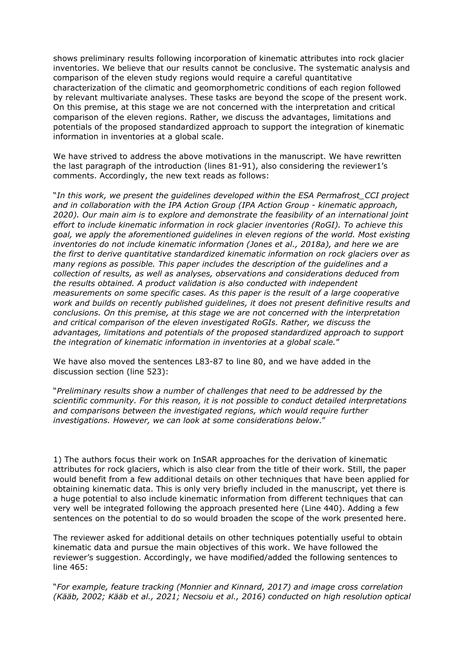shows preliminary results following incorporation of kinematic attributes into rock glacier inventories. We believe that our results cannot be conclusive. The systematic analysis and comparison of the eleven study regions would require a careful quantitative characterization of the climatic and geomorphometric conditions of each region followed by relevant multivariate analyses. These tasks are beyond the scope of the present work. On this premise, at this stage we are not concerned with the interpretation and critical comparison of the eleven regions. Rather, we discuss the advantages, limitations and potentials of the proposed standardized approach to support the integration of kinematic information in inventories at a global scale.

We have strived to address the above motivations in the manuscript. We have rewritten the last paragraph of the introduction (lines 81-91), also considering the reviewer1's comments. Accordingly, the new text reads as follows:

"*In this work, we present the guidelines developed within the ESA Permafrost\_CCI project and in collaboration with the IPA Action Group (IPA Action Group - kinematic approach, 2020). Our main aim is to explore and demonstrate the feasibility of an international joint effort to include kinematic information in rock glacier inventories (RoGI). To achieve this goal, we apply the aforementioned guidelines in eleven regions of the world. Most existing inventories do not include kinematic information (Jones et al., 2018a), and here we are the first to derive quantitative standardized kinematic information on rock glaciers over as many regions as possible. This paper includes the description of the guidelines and a collection of results, as well as analyses, observations and considerations deduced from the results obtained. A product validation is also conducted with independent measurements on some specific cases. As this paper is the result of a large cooperative work and builds on recently published guidelines, it does not present definitive results and conclusions. On this premise, at this stage we are not concerned with the interpretation and critical comparison of the eleven investigated RoGIs. Rather, we discuss the advantages, limitations and potentials of the proposed standardized approach to support the integration of kinematic information in inventories at a global scale.*"

We have also moved the sentences L83-87 to line 80, and we have added in the discussion section (line 523):

"*Preliminary results show a number of challenges that need to be addressed by the scientific community. For this reason, it is not possible to conduct detailed interpretations and comparisons between the investigated regions, which would require further investigations. However, we can look at some considerations below*."

1) The authors focus their work on InSAR approaches for the derivation of kinematic attributes for rock glaciers, which is also clear from the title of their work. Still, the paper would benefit from a few additional details on other techniques that have been applied for obtaining kinematic data. This is only very briefly included in the manuscript, yet there is a huge potential to also include kinematic information from different techniques that can very well be integrated following the approach presented here (Line 440). Adding a few sentences on the potential to do so would broaden the scope of the work presented here.

The reviewer asked for additional details on other techniques potentially useful to obtain kinematic data and pursue the main objectives of this work. We have followed the reviewer's suggestion. Accordingly, we have modified/added the following sentences to line 465:

"*For example, feature tracking (Monnier and Kinnard, 2017) and image cross correlation (Kääb, 2002; Kääb et al., 2021; Necsoiu et al., 2016) conducted on high resolution optical*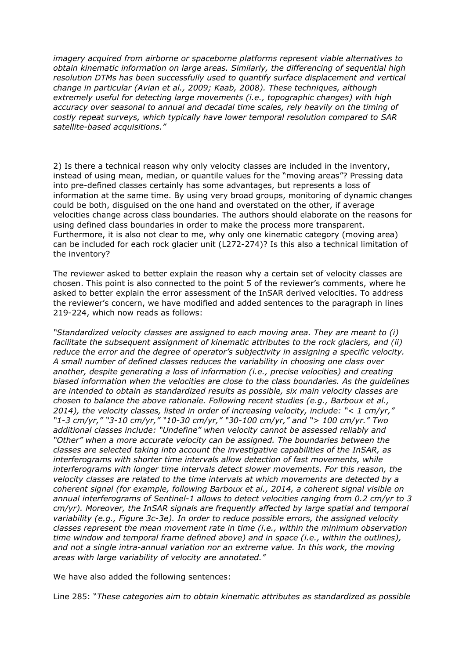*imagery acquired from airborne or spaceborne platforms represent viable alternatives to obtain kinematic information on large areas. Similarly, the differencing of sequential high resolution DTMs has been successfully used to quantify surface displacement and vertical change in particular (Avian et al., 2009; Kaab, 2008). These techniques, although extremely useful for detecting large movements (i.e., topographic changes) with high accuracy over seasonal to annual and decadal time scales, rely heavily on the timing of costly repeat surveys, which typically have lower temporal resolution compared to SAR satellite-based acquisitions."*

2) Is there a technical reason why only velocity classes are included in the inventory, instead of using mean, median, or quantile values for the "moving areas"? Pressing data into pre-defined classes certainly has some advantages, but represents a loss of information at the same time. By using very broad groups, monitoring of dynamic changes could be both, disguised on the one hand and overstated on the other, if average velocities change across class boundaries. The authors should elaborate on the reasons for using defined class boundaries in order to make the process more transparent. Furthermore, it is also not clear to me, why only one kinematic category (moving area) can be included for each rock glacier unit (L272-274)? Is this also a technical limitation of the inventory?

The reviewer asked to better explain the reason why a certain set of velocity classes are chosen. This point is also connected to the point 5 of the reviewer's comments, where he asked to better explain the error assessment of the InSAR derived velocities. To address the reviewer's concern, we have modified and added sentences to the paragraph in lines 219-224, which now reads as follows:

*"Standardized velocity classes are assigned to each moving area. They are meant to (i) facilitate the subsequent assignment of kinematic attributes to the rock glaciers, and (ii) reduce the error and the degree of operator's subjectivity in assigning a specific velocity. A small number of defined classes reduces the variability in choosing one class over another, despite generating a loss of information (i.e., precise velocities) and creating biased information when the velocities are close to the class boundaries. As the guidelines are intended to obtain as standardized results as possible, six main velocity classes are chosen to balance the above rationale. Following recent studies (e.g., Barboux et al., 2014), the velocity classes, listed in order of increasing velocity, include: "< 1 cm/yr," "1-3 cm/yr," "3-10 cm/yr," "10-30 cm/yr," "30-100 cm/yr," and "> 100 cm/yr." Two additional classes include: "Undefine" when velocity cannot be assessed reliably and "Other" when a more accurate velocity can be assigned. The boundaries between the classes are selected taking into account the investigative capabilities of the InSAR, as interferograms with shorter time intervals allow detection of fast movements, while interferograms with longer time intervals detect slower movements. For this reason, the velocity classes are related to the time intervals at which movements are detected by a coherent signal (for example, following Barboux et al., 2014, a coherent signal visible on annual interferograms of Sentinel-1 allows to detect velocities ranging from 0.2 cm/yr to 3 cm/yr). Moreover, the InSAR signals are frequently affected by large spatial and temporal variability (e.g., Figure 3c-3e). In order to reduce possible errors, the assigned velocity classes represent the mean movement rate in time (i.e., within the minimum observation time window and temporal frame defined above) and in space (i.e., within the outlines), and not a single intra-annual variation nor an extreme value. In this work, the moving areas with large variability of velocity are annotated."* 

We have also added the following sentences:

Line 285: "*These categories aim to obtain kinematic attributes as standardized as possible*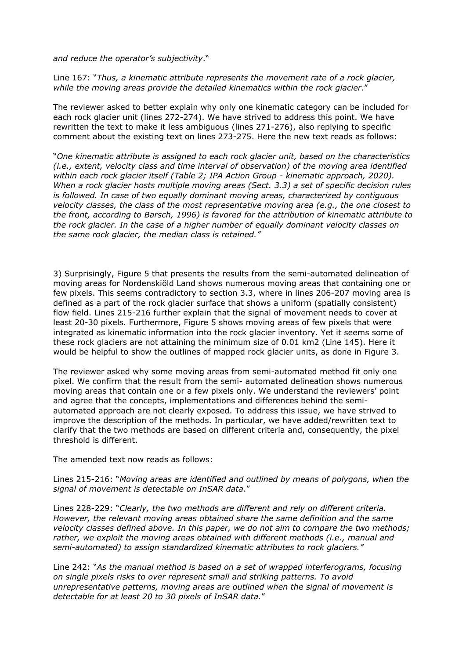*and reduce the operator's subjectivity*."

Line 167: "*Thus, a kinematic attribute represents the movement rate of a rock glacier, while the moving areas provide the detailed kinematics within the rock glacier*."

The reviewer asked to better explain why only one kinematic category can be included for each rock glacier unit (lines 272-274). We have strived to address this point. We have rewritten the text to make it less ambiguous (lines 271-276), also replying to specific comment about the existing text on lines 273-275. Here the new text reads as follows:

"*One kinematic attribute is assigned to each rock glacier unit, based on the characteristics (i.e., extent, velocity class and time interval of observation) of the moving area identified within each rock glacier itself (Table 2; IPA Action Group - kinematic approach, 2020). When a rock glacier hosts multiple moving areas (Sect. 3.3) a set of specific decision rules is followed. In case of two equally dominant moving areas, characterized by contiguous velocity classes, the class of the most representative moving area (e.g., the one closest to the front, according to Barsch, 1996) is favored for the attribution of kinematic attribute to the rock glacier. In the case of a higher number of equally dominant velocity classes on the same rock glacier, the median class is retained."*

3) Surprisingly, Figure 5 that presents the results from the semi-automated delineation of moving areas for Nordenskiöld Land shows numerous moving areas that containing one or few pixels. This seems contradictory to section 3.3, where in lines 206-207 moving area is defined as a part of the rock glacier surface that shows a uniform (spatially consistent) flow field. Lines 215-216 further explain that the signal of movement needs to cover at least 20-30 pixels. Furthermore, Figure 5 shows moving areas of few pixels that were integrated as kinematic information into the rock glacier inventory. Yet it seems some of these rock glaciers are not attaining the minimum size of 0.01 km2 (Line 145). Here it would be helpful to show the outlines of mapped rock glacier units, as done in Figure 3.

The reviewer asked why some moving areas from semi-automated method fit only one pixel. We confirm that the result from the semi- automated delineation shows numerous moving areas that contain one or a few pixels only. We understand the reviewers' point and agree that the concepts, implementations and differences behind the semiautomated approach are not clearly exposed. To address this issue, we have strived to improve the description of the methods. In particular, we have added/rewritten text to clarify that the two methods are based on different criteria and, consequently, the pixel threshold is different.

The amended text now reads as follows:

Lines 215-216: "*Moving areas are identified and outlined by means of polygons, when the signal of movement is detectable on InSAR data*."

Lines 228-229: "*Clearly, the two methods are different and rely on different criteria. However, the relevant moving areas obtained share the same definition and the same velocity classes defined above. In this paper, we do not aim to compare the two methods; rather, we exploit the moving areas obtained with different methods (i.e., manual and semi-automated) to assign standardized kinematic attributes to rock glaciers."* 

Line 242: "*As the manual method is based on a set of wrapped interferograms, focusing on single pixels risks to over represent small and striking patterns. To avoid unrepresentative patterns, moving areas are outlined when the signal of movement is detectable for at least 20 to 30 pixels of InSAR data.*"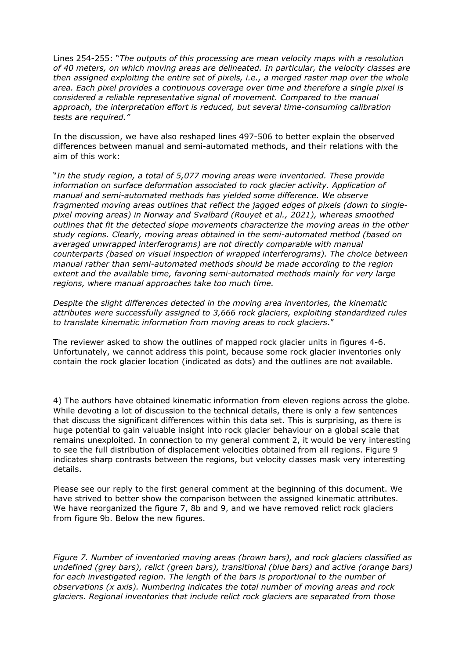Lines 254-255: "*The outputs of this processing are mean velocity maps with a resolution of 40 meters, on which moving areas are delineated. In particular, the velocity classes are then assigned exploiting the entire set of pixels, i.e., a merged raster map over the whole area. Each pixel provides a continuous coverage over time and therefore a single pixel is considered a reliable representative signal of movement. Compared to the manual approach, the interpretation effort is reduced, but several time-consuming calibration tests are required."*

In the discussion, we have also reshaped lines 497-506 to better explain the observed differences between manual and semi-automated methods, and their relations with the aim of this work:

"*In the study region, a total of 5,077 moving areas were inventoried. These provide information on surface deformation associated to rock glacier activity. Application of manual and semi-automated methods has yielded some difference. We observe fragmented moving areas outlines that reflect the jagged edges of pixels (down to singlepixel moving areas) in Norway and Svalbard (Rouyet et al., 2021), whereas smoothed outlines that fit the detected slope movements characterize the moving areas in the other study regions. Clearly, moving areas obtained in the semi-automated method (based on averaged unwrapped interferograms) are not directly comparable with manual counterparts (based on visual inspection of wrapped interferograms). The choice between manual rather than semi-automated methods should be made according to the region extent and the available time, favoring semi-automated methods mainly for very large regions, where manual approaches take too much time.*

*Despite the slight differences detected in the moving area inventories, the kinematic attributes were successfully assigned to 3,666 rock glaciers, exploiting standardized rules to translate kinematic information from moving areas to rock glaciers*."

The reviewer asked to show the outlines of mapped rock glacier units in figures 4-6. Unfortunately, we cannot address this point, because some rock glacier inventories only contain the rock glacier location (indicated as dots) and the outlines are not available.

4) The authors have obtained kinematic information from eleven regions across the globe. While devoting a lot of discussion to the technical details, there is only a few sentences that discuss the significant differences within this data set. This is surprising, as there is huge potential to gain valuable insight into rock glacier behaviour on a global scale that remains unexploited. In connection to my general comment 2, it would be very interesting to see the full distribution of displacement velocities obtained from all regions. Figure 9 indicates sharp contrasts between the regions, but velocity classes mask very interesting details.

Please see our reply to the first general comment at the beginning of this document. We have strived to better show the comparison between the assigned kinematic attributes. We have reorganized the figure 7, 8b and 9, and we have removed relict rock glaciers from figure 9b. Below the new figures.

*Figure 7. Number of inventoried moving areas (brown bars), and rock glaciers classified as undefined (grey bars), relict (green bars), transitional (blue bars) and active (orange bars) for each investigated region. The length of the bars is proportional to the number of observations (x axis). Numbering indicates the total number of moving areas and rock glaciers. Regional inventories that include relict rock glaciers are separated from those*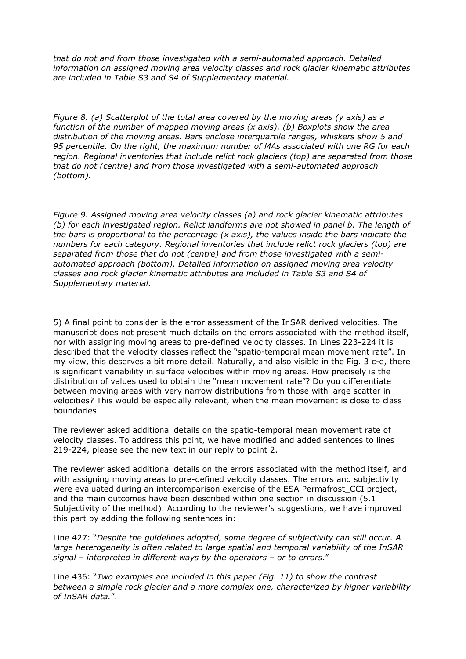*that do not and from those investigated with a semi-automated approach. Detailed information on assigned moving area velocity classes and rock glacier kinematic attributes are included in Table S3 and S4 of Supplementary material.*

*Figure 8. (a) Scatterplot of the total area covered by the moving areas (y axis) as a function of the number of mapped moving areas (x axis). (b) Boxplots show the area distribution of the moving areas. Bars enclose interquartile ranges, whiskers show 5 and 95 percentile. On the right, the maximum number of MAs associated with one RG for each region. Regional inventories that include relict rock glaciers (top) are separated from those that do not (centre) and from those investigated with a semi-automated approach (bottom).*

*Figure 9. Assigned moving area velocity classes (a) and rock glacier kinematic attributes (b) for each investigated region. Relict landforms are not showed in panel b. The length of the bars is proportional to the percentage (x axis), the values inside the bars indicate the numbers for each category. Regional inventories that include relict rock glaciers (top) are separated from those that do not (centre) and from those investigated with a semiautomated approach (bottom). Detailed information on assigned moving area velocity classes and rock glacier kinematic attributes are included in Table S3 and S4 of Supplementary material.*

5) A final point to consider is the error assessment of the InSAR derived velocities. The manuscript does not present much details on the errors associated with the method itself, nor with assigning moving areas to pre-defined velocity classes. In Lines 223-224 it is described that the velocity classes reflect the "spatio-temporal mean movement rate". In my view, this deserves a bit more detail. Naturally, and also visible in the Fig. 3 c-e, there is significant variability in surface velocities within moving areas. How precisely is the distribution of values used to obtain the "mean movement rate"? Do you differentiate between moving areas with very narrow distributions from those with large scatter in velocities? This would be especially relevant, when the mean movement is close to class boundaries.

The reviewer asked additional details on the spatio-temporal mean movement rate of velocity classes. To address this point, we have modified and added sentences to lines 219-224, please see the new text in our reply to point 2.

The reviewer asked additional details on the errors associated with the method itself, and with assigning moving areas to pre-defined velocity classes. The errors and subjectivity were evaluated during an intercomparison exercise of the ESA Permafrost CCI project, and the main outcomes have been described within one section in discussion (5.1 Subjectivity of the method). According to the reviewer's suggestions, we have improved this part by adding the following sentences in:

Line 427: "*Despite the guidelines adopted, some degree of subjectivity can still occur. A large heterogeneity is often related to large spatial and temporal variability of the InSAR signal – interpreted in different ways by the operators – or to errors*."

Line 436: "*Two examples are included in this paper (Fig. 11) to show the contrast between a simple rock glacier and a more complex one, characterized by higher variability of InSAR data.*".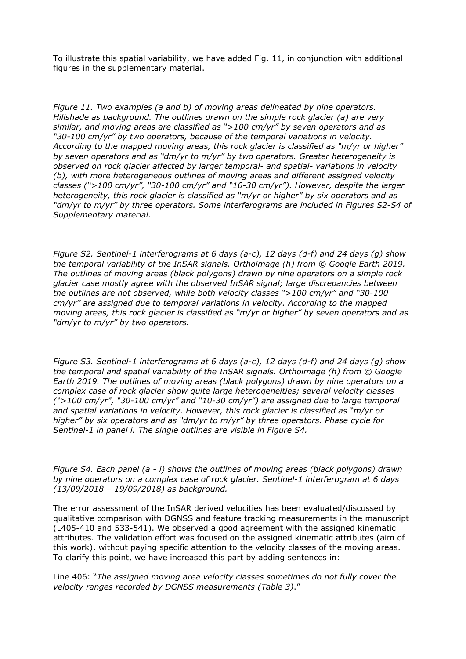To illustrate this spatial variability, we have added Fig. 11, in conjunction with additional figures in the supplementary material.

*Figure 11. Two examples (a and b) of moving areas delineated by nine operators. Hillshade as background. The outlines drawn on the simple rock glacier (a) are very similar, and moving areas are classified as ">100 cm/yr" by seven operators and as "30-100 cm/yr" by two operators, because of the temporal variations in velocity. According to the mapped moving areas, this rock glacier is classified as "m/yr or higher" by seven operators and as "dm/yr to m/yr" by two operators. Greater heterogeneity is observed on rock glacier affected by larger temporal- and spatial- variations in velocity (b), with more heterogeneous outlines of moving areas and different assigned velocity classes (">100 cm/yr", "30-100 cm/yr" and "10-30 cm/yr"). However, despite the larger heterogeneity, this rock glacier is classified as "m/yr or higher" by six operators and as "dm/yr to m/yr" by three operators. Some interferograms are included in Figures S2-S4 of Supplementary material.*

*Figure S2. Sentinel-1 interferograms at 6 days (a-c), 12 days (d-f) and 24 days (g) show the temporal variability of the InSAR signals. Orthoimage (h) from © Google Earth 2019. The outlines of moving areas (black polygons) drawn by nine operators on a simple rock glacier case mostly agree with the observed InSAR signal; large discrepancies between the outlines are not observed, while both velocity classes ">100 cm/yr" and "30-100 cm/yr" are assigned due to temporal variations in velocity. According to the mapped moving areas, this rock glacier is classified as "m/yr or higher" by seven operators and as "dm/yr to m/yr" by two operators.*

*Figure S3. Sentinel-1 interferograms at 6 days (a-c), 12 days (d-f) and 24 days (g) show the temporal and spatial variability of the InSAR signals. Orthoimage (h) from © Google Earth 2019. The outlines of moving areas (black polygons) drawn by nine operators on a complex case of rock glacier show quite large heterogeneities; several velocity classes (">100 cm/yr", "30-100 cm/yr" and "10-30 cm/yr") are assigned due to large temporal and spatial variations in velocity. However, this rock glacier is classified as "m/yr or higher" by six operators and as "dm/yr to m/yr" by three operators. Phase cycle for Sentinel-1 in panel i. The single outlines are visible in Figure S4.*

*Figure S4. Each panel (a - i) shows the outlines of moving areas (black polygons) drawn by nine operators on a complex case of rock glacier. Sentinel-1 interferogram at 6 days (13/09/2018 – 19/09/2018) as background.* 

The error assessment of the InSAR derived velocities has been evaluated/discussed by qualitative comparison with DGNSS and feature tracking measurements in the manuscript (L405-410 and 533-541). We observed a good agreement with the assigned kinematic attributes. The validation effort was focused on the assigned kinematic attributes (aim of this work), without paying specific attention to the velocity classes of the moving areas. To clarify this point, we have increased this part by adding sentences in:

Line 406: "*The assigned moving area velocity classes sometimes do not fully cover the velocity ranges recorded by DGNSS measurements (Table 3)*."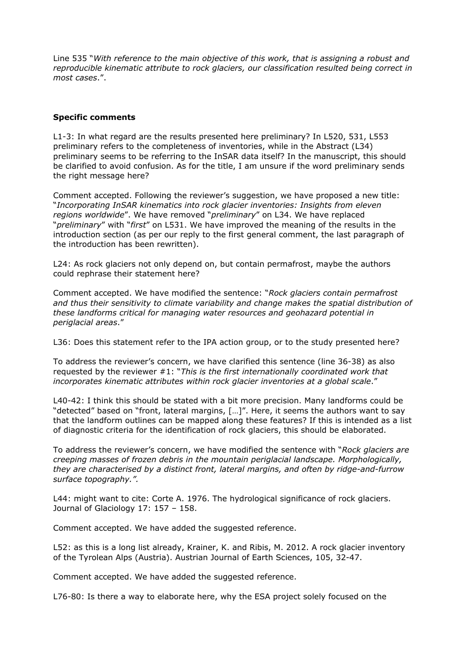Line 535 "*With reference to the main objective of this work, that is assigning a robust and reproducible kinematic attribute to rock glaciers, our classification resulted being correct in most cases*.".

## **Specific comments**

L1-3: In what regard are the results presented here preliminary? In L520, 531, L553 preliminary refers to the completeness of inventories, while in the Abstract (L34) preliminary seems to be referring to the InSAR data itself? In the manuscript, this should be clarified to avoid confusion. As for the title, I am unsure if the word preliminary sends the right message here?

Comment accepted. Following the reviewer's suggestion, we have proposed a new title: "*Incorporating InSAR kinematics into rock glacier inventories: Insights from eleven regions worldwide*". We have removed "*preliminary*" on L34. We have replaced "*preliminary*" with "*first*" on L531. We have improved the meaning of the results in the introduction section (as per our reply to the first general comment, the last paragraph of the introduction has been rewritten).

L24: As rock glaciers not only depend on, but contain permafrost, maybe the authors could rephrase their statement here?

Comment accepted. We have modified the sentence: "*Rock glaciers contain permafrost and thus their sensitivity to climate variability and change makes the spatial distribution of these landforms critical for managing water resources and geohazard potential in periglacial areas*."

L36: Does this statement refer to the IPA action group, or to the study presented here?

To address the reviewer's concern, we have clarified this sentence (line 36-38) as also requested by the reviewer #1: "*This is the first internationally coordinated work that incorporates kinematic attributes within rock glacier inventories at a global scale*."

L40-42: I think this should be stated with a bit more precision. Many landforms could be "detected" based on "front, lateral margins, […]". Here, it seems the authors want to say that the landform outlines can be mapped along these features? If this is intended as a list of diagnostic criteria for the identification of rock glaciers, this should be elaborated.

To address the reviewer's concern, we have modified the sentence with "*Rock glaciers are creeping masses of frozen debris in the mountain periglacial landscape. Morphologically, they are characterised by a distinct front, lateral margins, and often by ridge-and-furrow surface topography.".*

L44: might want to cite: Corte A. 1976. The hydrological significance of rock glaciers. Journal of Glaciology 17: 157 – 158.

Comment accepted. We have added the suggested reference.

L52: as this is a long list already, Krainer, K. and Ribis, M. 2012. A rock glacier inventory of the Tyrolean Alps (Austria). Austrian Journal of Earth Sciences, 105, 32-47.

Comment accepted. We have added the suggested reference.

L76-80: Is there a way to elaborate here, why the ESA project solely focused on the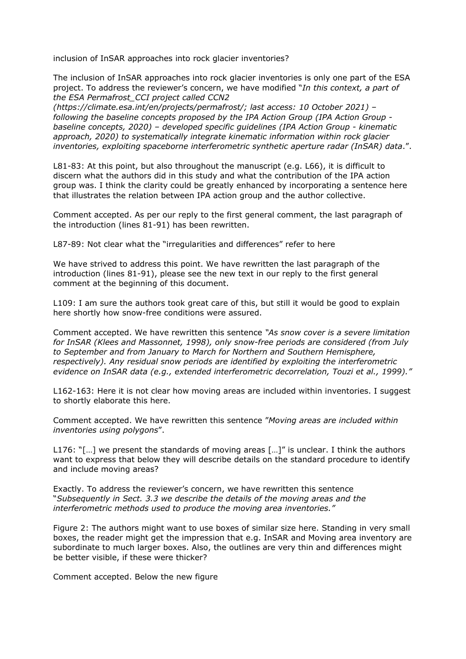inclusion of InSAR approaches into rock glacier inventories?

The inclusion of InSAR approaches into rock glacier inventories is only one part of the ESA project. To address the reviewer's concern, we have modified "*In this context, a part of the ESA Permafrost\_CCI project called CCN2*

*(https://climate.esa.int/en/projects/permafrost/; last access: 10 October 2021) – following the baseline concepts proposed by the IPA Action Group (IPA Action Group baseline concepts, 2020) – developed specific guidelines (IPA Action Group - kinematic approach, 2020) to systematically integrate kinematic information within rock glacier inventories, exploiting spaceborne interferometric synthetic aperture radar (InSAR) data*.".

L81-83: At this point, but also throughout the manuscript (e.g. L66), it is difficult to discern what the authors did in this study and what the contribution of the IPA action group was. I think the clarity could be greatly enhanced by incorporating a sentence here that illustrates the relation between IPA action group and the author collective.

Comment accepted. As per our reply to the first general comment, the last paragraph of the introduction (lines 81-91) has been rewritten.

L87-89: Not clear what the "irregularities and differences" refer to here

We have strived to address this point. We have rewritten the last paragraph of the introduction (lines 81-91), please see the new text in our reply to the first general comment at the beginning of this document.

L109: I am sure the authors took great care of this, but still it would be good to explain here shortly how snow-free conditions were assured.

Comment accepted. We have rewritten this sentence *"As snow cover is a severe limitation for InSAR (Klees and Massonnet, 1998), only snow-free periods are considered (from July to September and from January to March for Northern and Southern Hemisphere, respectively). Any residual snow periods are identified by exploiting the interferometric evidence on InSAR data (e.g., extended interferometric decorrelation, Touzi et al., 1999)."*

L162-163: Here it is not clear how moving areas are included within inventories. I suggest to shortly elaborate this here.

Comment accepted. We have rewritten this sentence "*Moving areas are included within inventories using polygons*".

L176: "[...] we present the standards of moving areas [...]" is unclear. I think the authors want to express that below they will describe details on the standard procedure to identify and include moving areas?

Exactly. To address the reviewer's concern, we have rewritten this sentence "*Subsequently in Sect. 3.3 we describe the details of the moving areas and the interferometric methods used to produce the moving area inventories."*

Figure 2: The authors might want to use boxes of similar size here. Standing in very small boxes, the reader might get the impression that e.g. InSAR and Moving area inventory are subordinate to much larger boxes. Also, the outlines are very thin and differences might be better visible, if these were thicker?

Comment accepted. Below the new figure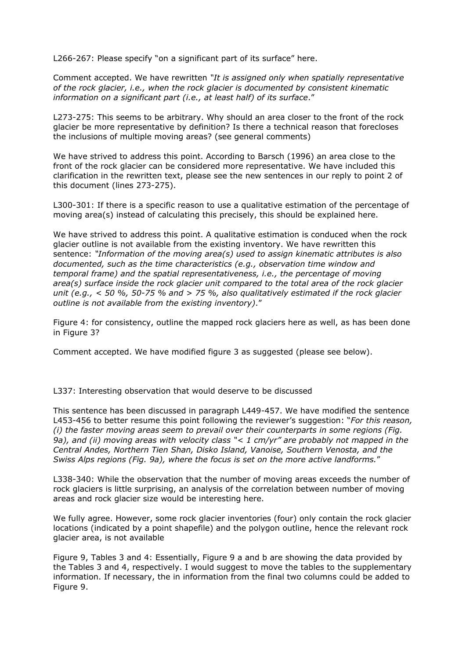L266-267: Please specify "on a significant part of its surface" here.

Comment accepted. We have rewritten *"It is assigned only when spatially representative of the rock glacier, i.e., when the rock glacier is documented by consistent kinematic information on a significant part (i.e., at least half) of its surface*."

L273-275: This seems to be arbitrary. Why should an area closer to the front of the rock glacier be more representative by definition? Is there a technical reason that forecloses the inclusions of multiple moving areas? (see general comments)

We have strived to address this point. According to Barsch (1996) an area close to the front of the rock glacier can be considered more representative. We have included this clarification in the rewritten text, please see the new sentences in our reply to point 2 of this document (lines 273-275).

L300-301: If there is a specific reason to use a qualitative estimation of the percentage of moving area(s) instead of calculating this precisely, this should be explained here.

We have strived to address this point. A qualitative estimation is conduced when the rock glacier outline is not available from the existing inventory. We have rewritten this sentence: *"Information of the moving area(s) used to assign kinematic attributes is also documented, such as the time characteristics (e.g., observation time window and temporal frame) and the spatial representativeness, i.e., the percentage of moving area(s) surface inside the rock glacier unit compared to the total area of the rock glacier unit (e.g., < 50 %, 50-75 % and > 75 %, also qualitatively estimated if the rock glacier outline is not available from the existing inventory)*."

Figure 4: for consistency, outline the mapped rock glaciers here as well, as has been done in Figure 3?

Comment accepted. We have modified figure 3 as suggested (please see below).

L337: Interesting observation that would deserve to be discussed

This sentence has been discussed in paragraph L449-457. We have modified the sentence L453-456 to better resume this point following the reviewer's suggestion: "*For this reason, (i) the faster moving areas seem to prevail over their counterparts in some regions (Fig. 9a), and (ii) moving areas with velocity class "< 1 cm/yr" are probably not mapped in the Central Andes, Northern Tien Shan, Disko Island, Vanoise, Southern Venosta, and the Swiss Alps regions (Fig. 9a), where the focus is set on the more active landforms.*"

L338-340: While the observation that the number of moving areas exceeds the number of rock glaciers is little surprising, an analysis of the correlation between number of moving areas and rock glacier size would be interesting here.

We fully agree. However, some rock glacier inventories (four) only contain the rock glacier locations (indicated by a point shapefile) and the polygon outline, hence the relevant rock glacier area, is not available

Figure 9, Tables 3 and 4: Essentially, Figure 9 a and b are showing the data provided by the Tables 3 and 4, respectively. I would suggest to move the tables to the supplementary information. If necessary, the in information from the final two columns could be added to Figure 9.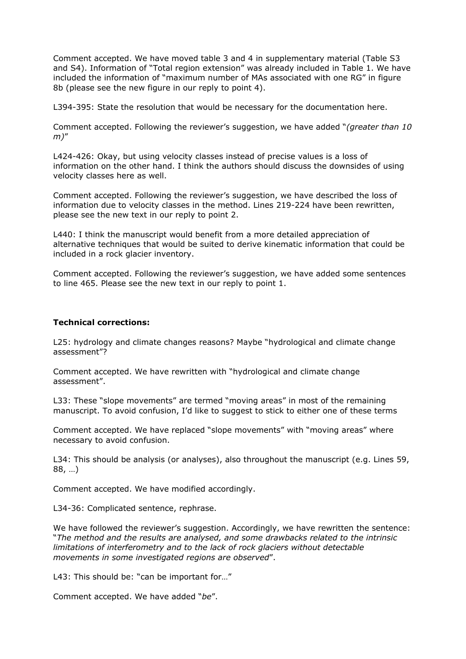Comment accepted. We have moved table 3 and 4 in supplementary material (Table S3 and S4). Information of "Total region extension" was already included in Table 1. We have included the information of "maximum number of MAs associated with one RG" in figure 8b (please see the new figure in our reply to point 4).

L394-395: State the resolution that would be necessary for the documentation here.

Comment accepted. Following the reviewer's suggestion, we have added "*(greater than 10 m)*"

L424-426: Okay, but using velocity classes instead of precise values is a loss of information on the other hand. I think the authors should discuss the downsides of using velocity classes here as well.

Comment accepted. Following the reviewer's suggestion, we have described the loss of information due to velocity classes in the method. Lines 219-224 have been rewritten, please see the new text in our reply to point 2.

L440: I think the manuscript would benefit from a more detailed appreciation of alternative techniques that would be suited to derive kinematic information that could be included in a rock glacier inventory.

Comment accepted. Following the reviewer's suggestion, we have added some sentences to line 465. Please see the new text in our reply to point 1.

#### **Technical corrections:**

L25: hydrology and climate changes reasons? Maybe "hydrological and climate change assessment"?

Comment accepted. We have rewritten with "hydrological and climate change assessment".

L33: These "slope movements" are termed "moving areas" in most of the remaining manuscript. To avoid confusion, I'd like to suggest to stick to either one of these terms

Comment accepted. We have replaced "slope movements" with "moving areas" where necessary to avoid confusion.

L34: This should be analysis (or analyses), also throughout the manuscript (e.g. Lines 59, 88, …)

Comment accepted. We have modified accordingly.

L34-36: Complicated sentence, rephrase.

We have followed the reviewer's suggestion. Accordingly, we have rewritten the sentence: "*The method and the results are analysed, and some drawbacks related to the intrinsic limitations of interferometry and to the lack of rock glaciers without detectable movements in some investigated regions are observed*".

L43: This should be: "can be important for..."

Comment accepted. We have added "*be*".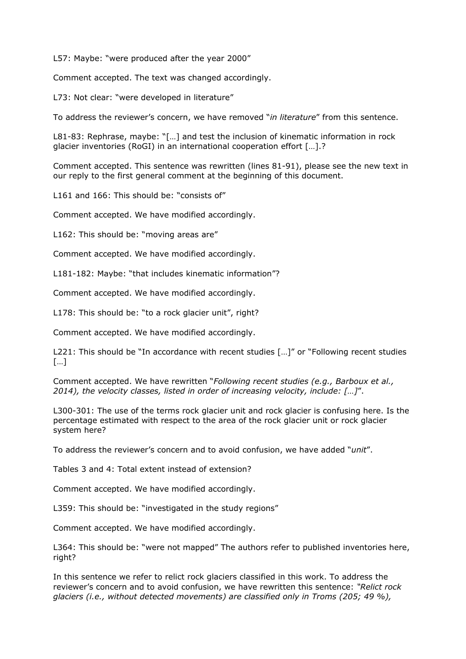L57: Maybe: "were produced after the year 2000"

Comment accepted. The text was changed accordingly.

L73: Not clear: "were developed in literature"

To address the reviewer's concern, we have removed "*in literature*" from this sentence.

L81-83: Rephrase, maybe: "[…] and test the inclusion of kinematic information in rock glacier inventories (RoGI) in an international cooperation effort […].?

Comment accepted. This sentence was rewritten (lines 81-91), please see the new text in our reply to the first general comment at the beginning of this document.

L161 and 166: This should be: "consists of"

Comment accepted. We have modified accordingly.

L162: This should be: "moving areas are"

Comment accepted. We have modified accordingly.

L181-182: Maybe: "that includes kinematic information"?

Comment accepted. We have modified accordingly.

L178: This should be: "to a rock glacier unit", right?

Comment accepted. We have modified accordingly.

L221: This should be "In accordance with recent studies […]" or "Following recent studies […]

Comment accepted. We have rewritten "*Following recent studies (e.g., Barboux et al., 2014), the velocity classes, listed in order of increasing velocity, include: […]*".

L300-301: The use of the terms rock glacier unit and rock glacier is confusing here. Is the percentage estimated with respect to the area of the rock glacier unit or rock glacier system here?

To address the reviewer's concern and to avoid confusion, we have added "*unit*".

Tables 3 and 4: Total extent instead of extension?

Comment accepted. We have modified accordingly.

L359: This should be: "investigated in the study regions"

Comment accepted. We have modified accordingly.

L364: This should be: "were not mapped" The authors refer to published inventories here, right?

In this sentence we refer to relict rock glaciers classified in this work. To address the reviewer's concern and to avoid confusion, we have rewritten this sentence: *"Relict rock glaciers (i.e., without detected movements) are classified only in Troms (205; 49 %),*